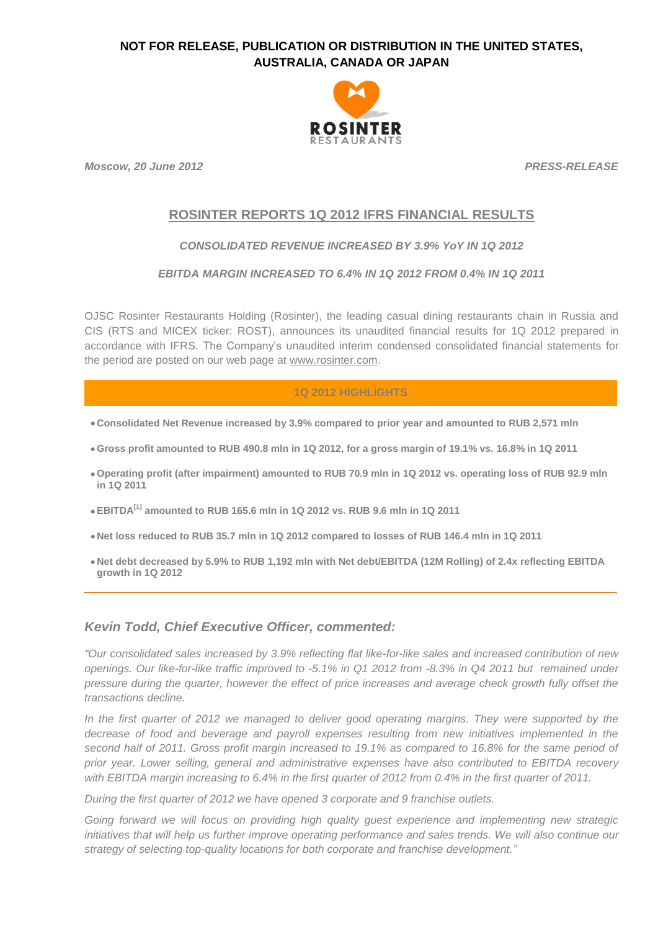

*Moscow, 20 June 2012 PRESS-RELEASE*

# **ROSINTER REPORTS 1Q 2012 IFRS FINANCIAL RESULTS**

## *CONSOLIDATED REVENUE INCREASED BY 3.9% YoY IN 1Q 2012*

### *EBITDA MARGIN INCREASED TO 6.4% IN 1Q 2012 FROM 0.4% IN 1Q 2011*

OJSC Rosinter Restaurants Holding (Rosinter), the leading casual dining restaurants chain in Russia and CIS (RTS and MICEX ticker: ROST), announces its unaudited financial results for 1Q 2012 prepared in accordance with IFRS. The Company's unaudited interim condensed consolidated financial statements for the period are posted on our web page at [www.rosinter.com.](http://www.rosinter.com/)

## **1Q 2012 HIGHLIGHTS**

- **Consolidated Net Revenue increased by 3.9% compared to prior year and amounted to RUB 2,571 mln**
- **Gross profit amounted to RUB 490.8 mln in 1Q 2012, for a gross margin of 19.1% vs. 16.8% in 1Q 2011**
- **Operating profit (after impairment) amounted to RUB 70.9 mln in 1Q 2012 vs. operating loss of RUB 92.9 mln in 1Q 2011**
- **EBITDA[1] amounted to RUB 165.6 mln in 1Q 2012 vs. RUB 9.6 mln in 1Q 2011**
- **Net loss reduced to RUB 35.7 mln in 1Q 2012 compared to losses of RUB 146.4 mln in 1Q 2011**
- **Net debt decreased by 5.9% to RUB 1,192 mln with Net debt/EBITDA (12M Rolling) of 2.4x reflecting EBITDA growth in 1Q 2012**

## *Kevin Todd, Chief Executive Officer, commented:*

*"Our consolidated sales increased by 3.9% reflecting flat like-for-like sales and increased contribution of new openings. Our like-for-like traffic improved to -5.1% in Q1 2012 from -8.3% in Q4 2011 but remained under pressure during the quarter, however the effect of price increases and average check growth fully offset the transactions decline.*

*In the first quarter of 2012 we managed to deliver good operating margins. They were supported by the decrease of food and beverage and payroll expenses resulting from new initiatives implemented in the second half of 2011. Gross profit margin increased to 19.1% as compared to 16.8% for the same period of prior year. Lower selling, general and administrative expenses have also contributed to EBITDA recovery with EBITDA margin increasing to 6.4% in the first quarter of 2012 from 0.4% in the first quarter of 2011.*

*During the first quarter of 2012 we have opened 3 corporate and 9 franchise outlets.* 

*Going forward we will focus on providing high quality guest experience and implementing new strategic initiatives that will help us further improve operating performance and sales trends. We will also continue our strategy of selecting top-quality locations for both corporate and franchise development."*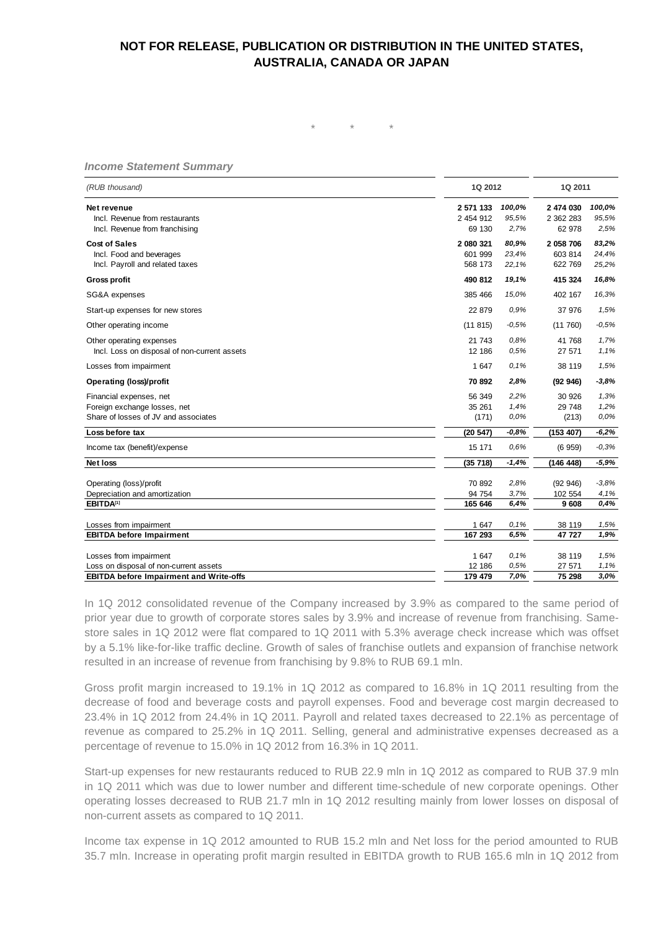*\* \* \**

# *Income Statement Summary*

| (RUB thousand)                                            |                  | 1Q 2012      |                  | 1Q 2011      |  |
|-----------------------------------------------------------|------------------|--------------|------------------|--------------|--|
| Net revenue                                               | 2 571 133        | 100,0%       | 2 474 030        | 100,0%       |  |
| Incl. Revenue from restaurants                            | 2 454 912        | 95,5%        | 2 362 283        | 95,5%        |  |
| Incl. Revenue from franchising                            | 69 130           | 2,7%         | 62 978           | 2,5%         |  |
| <b>Cost of Sales</b>                                      | 2 080 321        | 80,9%        | 2 058 706        | 83,2%        |  |
| Incl. Food and beverages                                  | 601 999          | 23,4%        | 603 814          | 24,4%        |  |
| Incl. Payroll and related taxes                           | 568 173          | 22,1%        | 622 769          | 25,2%        |  |
| <b>Gross profit</b>                                       | 490 812          | 19,1%        | 415 324          | 16,8%        |  |
| SG&A expenses                                             | 385 466          | 15,0%        | 402 167          | 16,3%        |  |
| Start-up expenses for new stores                          | 22 879           | 0,9%         | 37 976           | 1,5%         |  |
| Other operating income                                    | (11815)          | $-0,5%$      | (11760)          | $-0,5%$      |  |
| Other operating expenses                                  | 21 743           | 0.8%         | 41 768           | 1,7%         |  |
| Incl. Loss on disposal of non-current assets              | 12 18 6          | 0,5%         | 27 571           | 1.1%         |  |
| Losses from impairment                                    | 1 647            | 0.1%         | 38 119           | 1,5%         |  |
| <b>Operating (loss)/profit</b>                            | 70 892           | 2,8%         | (92946)          | $-3,8%$      |  |
| Financial expenses, net                                   | 56 349           | 2,2%         | 30 926           | 1,3%         |  |
| Foreign exchange losses, net                              | 35 261           | 1,4%         | 29 748           | 1,2%         |  |
| Share of losses of JV and associates                      | (171)            | 0,0%         | (213)            | 0,0%         |  |
| Loss before tax                                           | (20 547)         | $-0,8%$      | (153 407)        | $-6,2%$      |  |
| Income tax (benefit)/expense                              | 15 171           | 0,6%         | (6959)           | $-0,3%$      |  |
| <b>Net loss</b>                                           | (35718)          | $-1,4%$      | (146 448)        | $-5,9%$      |  |
| Operating (loss)/profit                                   | 70 892           | 2,8%         | (92946)          | $-3.8%$      |  |
| Depreciation and amortization                             | 94 754           | 3,7%         | 102 554          | 4,1%         |  |
| EBITDA <sup>[1]</sup>                                     | 165 646          | 6,4%         | 9 608            | 0.4%         |  |
|                                                           |                  |              |                  |              |  |
| Losses from impairment<br><b>EBITDA before Impairment</b> | 1 647<br>167 293 | 0,1%<br>6,5% | 38 119<br>47 727 | 1,5%<br>1,9% |  |
|                                                           |                  |              |                  |              |  |
| Losses from impairment                                    | 1647             | 0,1%         | 38 119           | 1,5%         |  |
| Loss on disposal of non-current assets                    | 12 18 6          | 0,5%         | 27 571           | 1,1%         |  |
| <b>EBITDA before Impairment and Write-offs</b>            | 179 479          | 7,0%         | 75 298           | 3.0%         |  |

In 1Q 2012 consolidated revenue of the Company increased by 3.9% as compared to the same period of prior year due to growth of corporate stores sales by 3.9% and increase of revenue from franchising. Samestore sales in 1Q 2012 were flat compared to 1Q 2011 with 5.3% average check increase which was offset by a 5.1% like-for-like traffic decline. Growth of sales of franchise outlets and expansion of franchise network resulted in an increase of revenue from franchising by 9.8% to RUB 69.1 mln.

Gross profit margin increased to 19.1% in 1Q 2012 as compared to 16.8% in 1Q 2011 resulting from the decrease of food and beverage costs and payroll expenses. Food and beverage cost margin decreased to 23.4% in 1Q 2012 from 24.4% in 1Q 2011. Payroll and related taxes decreased to 22.1% as percentage of revenue as compared to 25.2% in 1Q 2011. Selling, general and administrative expenses decreased as a percentage of revenue to 15.0% in 1Q 2012 from 16.3% in 1Q 2011.

Start-up expenses for new restaurants reduced to RUB 22.9 mln in 1Q 2012 as compared to RUB 37.9 mln in 1Q 2011 which was due to lower number and different time-schedule of new corporate openings. Other operating losses decreased to RUB 21.7 mln in 1Q 2012 resulting mainly from lower losses on disposal of non-current assets as compared to 1Q 2011.

Income tax expense in 1Q 2012 amounted to RUB 15.2 mln and Net loss for the period amounted to RUB 35.7 mln. Increase in operating profit margin resulted in EBITDA growth to RUB 165.6 mln in 1Q 2012 from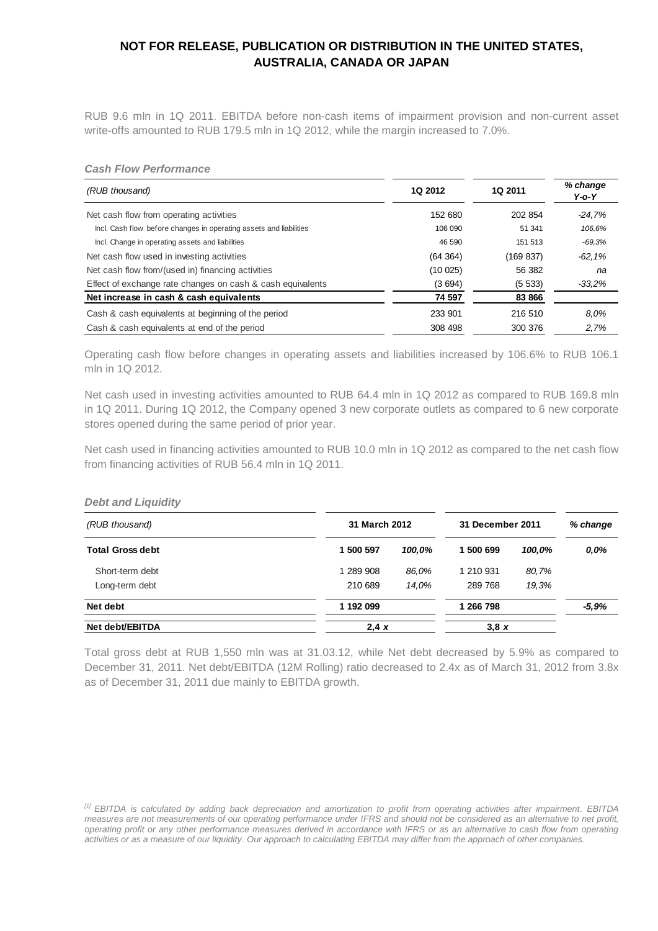RUB 9.6 mln in 1Q 2011. EBITDA before non-cash items of impairment provision and non-current asset write-offs amounted to RUB 179.5 mln in 1Q 2012, while the margin increased to 7.0%.

#### *Cash Flow Performance*

| (RUB thousand)                                                     | 1Q 2012  | <b>1Q 2011</b> | % change<br>$Y$ -o- $Y$ |
|--------------------------------------------------------------------|----------|----------------|-------------------------|
| Net cash flow from operating activities                            | 152 680  | 202 854        | $-24.7%$                |
| Incl. Cash flow before changes in operating assets and liabilities | 106 090  | 51 341         | 106,6%                  |
| Incl. Change in operating assets and liabilities                   | 46 590   | 151 513        | $-69.3%$                |
| Net cash flow used in investing activities                         | (64 364) | (169 837)      | $-62,1%$                |
| Net cash flow from/(used in) financing activities                  | (10025)  | 56 382         | na                      |
| Effect of exchange rate changes on cash & cash equivalents         | (3694)   | (5533)         | $-33.2%$                |
| Net increase in cash & cash equivalents                            | 74 597   | 83 866         |                         |
| Cash & cash equivalents at beginning of the period                 | 233 901  | 216 510        | 8.0%                    |
| Cash & cash equivalents at end of the period                       | 308 498  | 300 376        | 2,7%                    |

Operating cash flow before changes in operating assets and liabilities increased by 106.6% to RUB 106.1 mln in 1Q 2012.

Net cash used in investing activities amounted to RUB 64.4 mln in 1Q 2012 as compared to RUB 169.8 mln in 1Q 2011. During 1Q 2012, the Company opened 3 new corporate outlets as compared to 6 new corporate stores opened during the same period of prior year.

Net cash used in financing activities amounted to RUB 10.0 mln in 1Q 2012 as compared to the net cash flow from financing activities of RUB 56.4 mln in 1Q 2011.

# *Debt and Liquidity (RUB thousand) % change* **31 March 2012 31 December 2011 Total Gross debt 1 500 597** *100,0%* **1 500 699** *100,0% 0,0%* Short-term debt 1 289 908 *86,0%* 1 210 931 *80,7%* Long-term debt 210 689 *14,0%* 289 768 *19,3%* **Net debt 1 192 099 1 266 798** *-5,9%* Net debt/EBITDA 3,8 *x* 2,4 *x* 3,8 *x*

Total gross debt at RUB 1,550 mln was at 31.03.12, while Net debt decreased by 5.9% as compared to December 31, 2011. Net debt/EBITDA (12M Rolling) ratio decreased to 2.4x as of March 31, 2012 from 3.8x as of December 31, 2011 due mainly to EBITDA growth.

*<sup>[1]</sup> EBITDA is calculated by adding back depreciation and amortization to profit from operating activities after impairment. EBITDA measures are not measurements of our operating performance under IFRS and should not be considered as an alternative to net profit, operating profit or any other performance measures derived in accordance with IFRS or as an alternative to cash flow from operating activities or as a measure of our liquidity. Our approach to calculating EBITDA may differ from the approach of other companies.*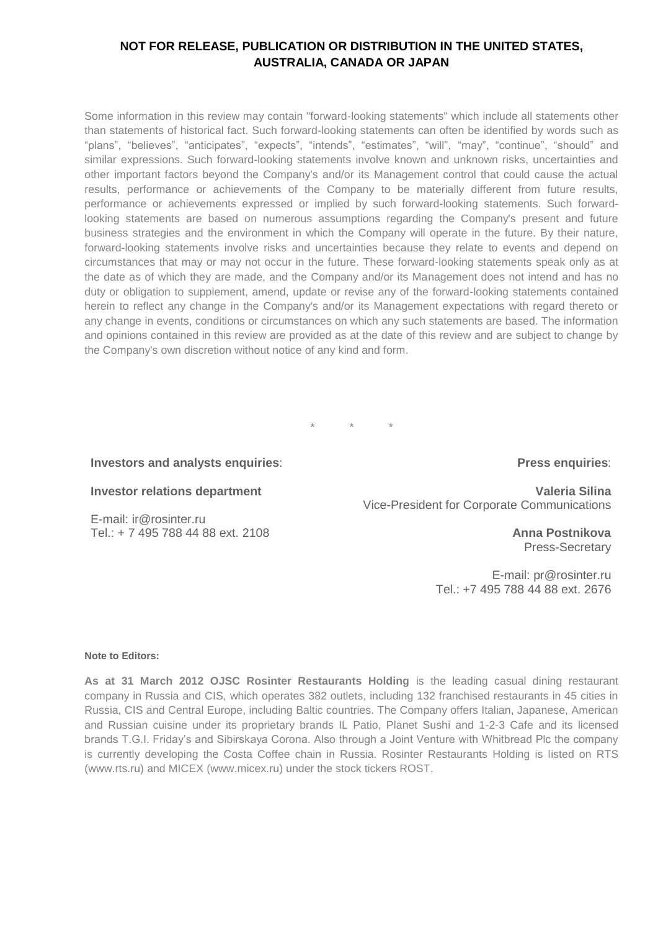Some information in this review may contain "forward-looking statements" which include all statements other than statements of historical fact. Such forward-looking statements can often be identified by words such as "plans", "believes", "anticipates", "expects", "intends", "estimates", "will", "may", "continue", "should" and similar expressions. Such forward-looking statements involve known and unknown risks, uncertainties and other important factors beyond the Company's and/or its Management control that could cause the actual results, performance or achievements of the Company to be materially different from future results, performance or achievements expressed or implied by such forward-looking statements. Such forwardlooking statements are based on numerous assumptions regarding the Company's present and future business strategies and the environment in which the Company will operate in the future. By their nature, forward-looking statements involve risks and uncertainties because they relate to events and depend on circumstances that may or may not occur in the future. These forward-looking statements speak only as at the date as of which they are made, and the Company and/or its Management does not intend and has no duty or obligation to supplement, amend, update or revise any of the forward-looking statements contained herein to reflect any change in the Company's and/or its Management expectations with regard thereto or any change in events, conditions or circumstances on which any such statements are based. The information and opinions contained in this review are provided as at the date of this review and are subject to change by the Company's own discretion without notice of any kind and form.

\* \* \*

#### **Investors and analysts enquiries**:

#### **Investor relations department**

E-mail: [ir@rosinter.ru](mailto:ir@rosinter.ru) Tel.: + 7 495 788 44 88 ext. 2108

#### **Press enquiries**:

**Valeria Silina** Vice-President for Corporate Communications

> **Anna Postnikova** Press-Secretary

E-mail: [pr@rosinter.ru](mailto:pr@rosinter.ru) Tel.: +7 495 788 44 88 ext. 2676

#### **Note to Editors:**

**As at 31 March 2012 OJSC Rosinter Restaurants Holding** is the leading casual dining restaurant company in Russia and CIS, which operates 382 outlets, including 132 franchised restaurants in 45 cities in Russia, CIS and Central Europe, including Baltic countries. The Company offers Italian, Japanese, American and Russian cuisine under its proprietary brands IL Patio, Planet Sushi and 1-2-3 Cafe and its licensed brands T.G.I. Friday's and Sibirskaya Corona. Also through a Joint Venture with Whitbread Plc the company is currently developing the Costa Coffee chain in Russia. Rosinter Restaurants Holding is listed on RTS [\(www.rts.ru\)](http://www.rts.ru/) and MICEX [\(www.micex.ru\)](http://www.micex.ru/) under the stock tickers ROST.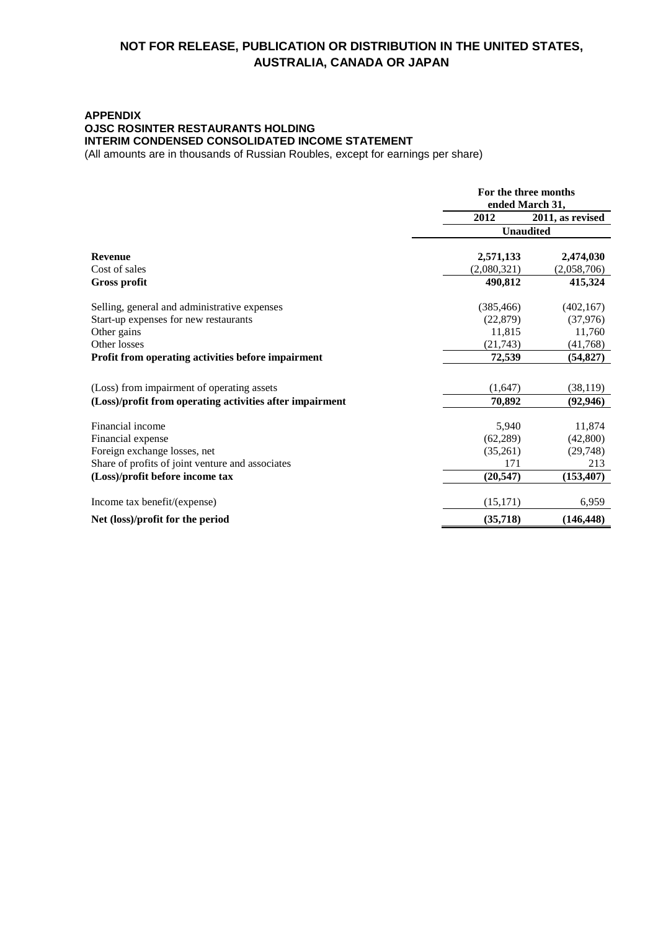## **APPENDIX OJSC ROSINTER RESTAURANTS HOLDING INTERIM CONDENSED CONSOLIDATED INCOME STATEMENT**

(All amounts are in thousands of Russian Roubles, except for earnings per share)

|                                                          | For the three months<br>ended March 31, |                  |
|----------------------------------------------------------|-----------------------------------------|------------------|
|                                                          | 2012                                    | 2011, as revised |
|                                                          | <b>Unaudited</b>                        |                  |
| <b>Revenue</b>                                           | 2,571,133                               | 2,474,030        |
| Cost of sales                                            | (2,080,321)                             | (2,058,706)      |
| Gross profit                                             | 490,812                                 | 415,324          |
| Selling, general and administrative expenses             | (385, 466)                              | (402, 167)       |
| Start-up expenses for new restaurants                    | (22, 879)                               | (37, 976)        |
| Other gains                                              | 11,815                                  | 11,760           |
| Other losses                                             | (21,743)                                | (41,768)         |
| Profit from operating activities before impairment       | 72,539                                  | (54, 827)        |
| (Loss) from impairment of operating assets               | (1,647)                                 | (38, 119)        |
| (Loss)/profit from operating activities after impairment | 70,892                                  | (92, 946)        |
| Financial income                                         | 5,940                                   | 11,874           |
| Financial expense                                        | (62, 289)                               | (42,800)         |
| Foreign exchange losses, net                             | (35,261)                                | (29,748)         |
| Share of profits of joint venture and associates         | 171                                     | 213              |
| (Loss)/profit before income tax                          | (20, 547)                               | (153, 407)       |
| Income tax benefit/(expense)                             | (15, 171)                               | 6,959            |
| Net (loss)/profit for the period                         | (35,718)                                | (146.448)        |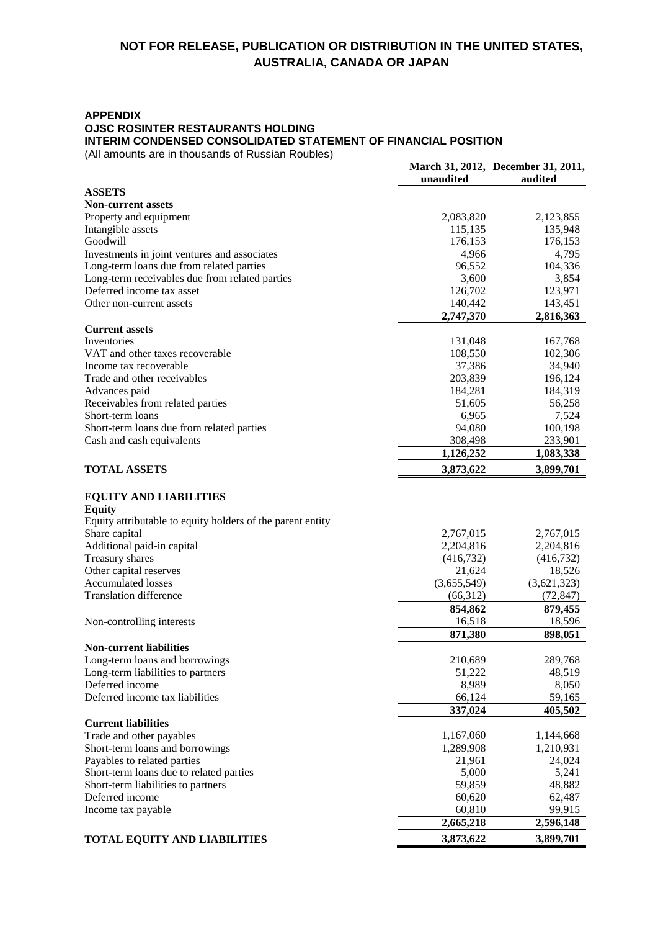#### **APPENDIX**

**OJSC ROSINTER RESTAURANTS HOLDING** 

**INTERIM CONDENSED CONSOLIDATED STATEMENT OF FINANCIAL POSITION**

(All amounts are in thousands of Russian Roubles)

|                                                            |             | March 31, 2012, December 31, 2011, |
|------------------------------------------------------------|-------------|------------------------------------|
|                                                            | unaudited   | audited                            |
| <b>ASSETS</b><br><b>Non-current assets</b>                 |             |                                    |
| Property and equipment                                     | 2,083,820   | 2,123,855                          |
| Intangible assets                                          | 115,135     | 135,948                            |
| Goodwill                                                   | 176,153     | 176,153                            |
| Investments in joint ventures and associates               | 4,966       | 4,795                              |
| Long-term loans due from related parties                   | 96,552      | 104,336                            |
| Long-term receivables due from related parties             | 3,600       | 3,854                              |
| Deferred income tax asset                                  | 126,702     | 123,971                            |
| Other non-current assets                                   | 140,442     | 143,451                            |
|                                                            | 2,747,370   | 2,816,363                          |
| <b>Current assets</b>                                      |             |                                    |
| Inventories                                                | 131,048     | 167,768                            |
| VAT and other taxes recoverable                            | 108,550     | 102,306                            |
| Income tax recoverable                                     | 37,386      | 34,940                             |
| Trade and other receivables                                | 203,839     | 196,124                            |
| Advances paid                                              | 184,281     | 184,319                            |
| Receivables from related parties                           | 51,605      | 56,258                             |
| Short-term loans                                           | 6,965       | 7,524                              |
| Short-term loans due from related parties                  | 94,080      | 100,198                            |
| Cash and cash equivalents                                  | 308,498     | 233,901                            |
|                                                            | 1,126,252   | 1,083,338                          |
| <b>TOTAL ASSETS</b>                                        | 3,873,622   | 3,899,701                          |
|                                                            |             |                                    |
| <b>EQUITY AND LIABILITIES</b><br><b>Equity</b>             |             |                                    |
| Equity attributable to equity holders of the parent entity |             |                                    |
| Share capital                                              | 2,767,015   | 2,767,015                          |
| Additional paid-in capital                                 | 2,204,816   | 2,204,816                          |
| Treasury shares                                            | (416, 732)  | (416,732)                          |
| Other capital reserves                                     | 21,624      | 18,526                             |
| <b>Accumulated losses</b>                                  | (3,655,549) | (3,621,323)                        |
| <b>Translation difference</b>                              | (66,312)    | (72, 847)                          |
|                                                            | 854,862     | 879,455                            |
| Non-controlling interests                                  | 16,518      | 18,596                             |
|                                                            | 871,380     | 898,051                            |
| <b>Non-current liabilities</b>                             |             |                                    |
| Long-term loans and borrowings                             | 210,689     | 289,768                            |
| Long-term liabilities to partners                          | 51,222      | 48,519                             |
| Deferred income                                            | 8,989       | 8,050                              |
| Deferred income tax liabilities                            | 66,124      | 59,165                             |
|                                                            | 337,024     | 405,502                            |
| <b>Current liabilities</b>                                 |             |                                    |
| Trade and other payables                                   | 1,167,060   | 1,144,668                          |
| Short-term loans and borrowings                            | 1,289,908   | 1,210,931                          |
| Payables to related parties                                | 21,961      | 24,024                             |
| Short-term loans due to related parties                    | 5,000       | 5,241                              |
| Short-term liabilities to partners                         | 59,859      | 48,882                             |
| Deferred income                                            | 60,620      | 62,487                             |
| Income tax payable                                         | 60,810      | 99,915                             |
|                                                            | 2,665,218   | 2,596,148                          |
| <b>TOTAL EQUITY AND LIABILITIES</b>                        | 3,873,622   | 3,899,701                          |
|                                                            |             |                                    |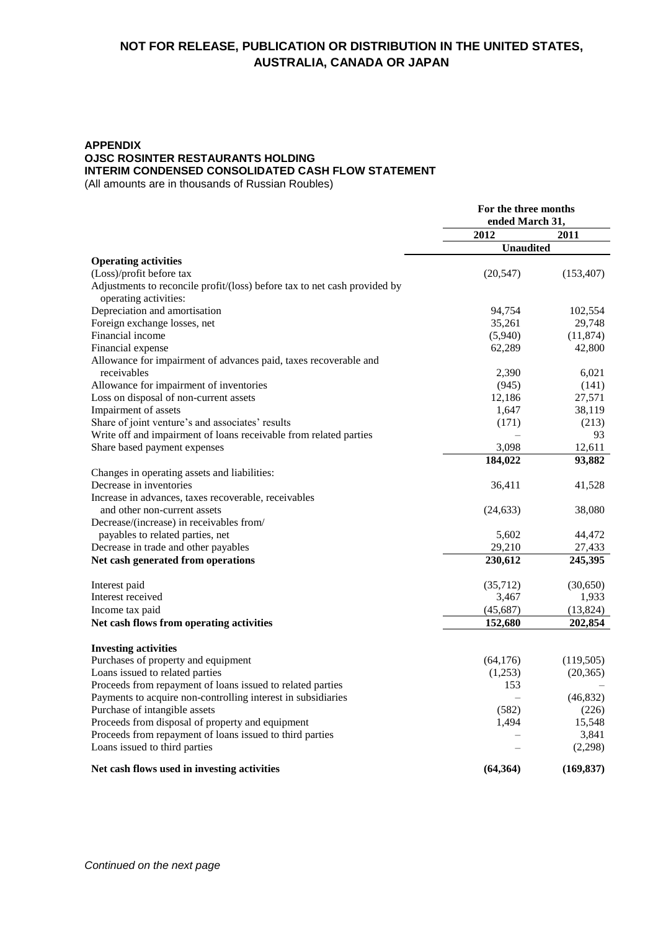## **APPENDIX OJSC ROSINTER RESTAURANTS HOLDING INTERIM CONDENSED CONSOLIDATED CASH FLOW STATEMENT**

(All amounts are in thousands of Russian Roubles)

|                                                                                                    | For the three months<br>ended March 31, |            |
|----------------------------------------------------------------------------------------------------|-----------------------------------------|------------|
|                                                                                                    | 2012                                    | 2011       |
|                                                                                                    | <b>Unaudited</b>                        |            |
| <b>Operating activities</b>                                                                        |                                         |            |
| (Loss)/profit before tax                                                                           | (20, 547)                               | (153, 407) |
| Adjustments to reconcile profit/(loss) before tax to net cash provided by<br>operating activities: |                                         |            |
| Depreciation and amortisation                                                                      | 94,754                                  | 102,554    |
| Foreign exchange losses, net                                                                       | 35,261                                  | 29,748     |
| Financial income                                                                                   | (5,940)                                 | (11, 874)  |
| Financial expense                                                                                  | 62,289                                  | 42,800     |
| Allowance for impairment of advances paid, taxes recoverable and                                   |                                         |            |
| receivables                                                                                        | 2,390                                   | 6.021      |
| Allowance for impairment of inventories                                                            | (945)                                   | (141)      |
| Loss on disposal of non-current assets                                                             | 12,186                                  | 27,571     |
| Impairment of assets                                                                               | 1,647                                   | 38,119     |
| Share of joint venture's and associates' results                                                   | (171)                                   | (213)      |
| Write off and impairment of loans receivable from related parties                                  |                                         | 93         |
| Share based payment expenses                                                                       | 3,098                                   | 12.611     |
|                                                                                                    | 184,022                                 | 93,882     |
| Changes in operating assets and liabilities:                                                       |                                         |            |
| Decrease in inventories                                                                            | 36,411                                  | 41,528     |
| Increase in advances, taxes recoverable, receivables                                               |                                         |            |
| and other non-current assets                                                                       | (24, 633)                               | 38,080     |
| Decrease/(increase) in receivables from/                                                           |                                         |            |
| payables to related parties, net                                                                   | 5,602                                   | 44,472     |
| Decrease in trade and other payables                                                               | 29,210                                  | 27,433     |
| Net cash generated from operations                                                                 | 230,612                                 | 245,395    |
|                                                                                                    |                                         |            |
| Interest paid                                                                                      | (35,712)                                | (30,650)   |
| Interest received                                                                                  | 3,467                                   | 1,933      |
| Income tax paid                                                                                    | (45, 687)                               | (13, 824)  |
| Net cash flows from operating activities                                                           | 152,680                                 | 202,854    |
|                                                                                                    |                                         |            |
| <b>Investing activities</b>                                                                        |                                         |            |
| Purchases of property and equipment                                                                | (64, 176)                               | (119,505)  |
| Loans issued to related parties                                                                    | (1,253)                                 | (20, 365)  |
| Proceeds from repayment of loans issued to related parties                                         | 153                                     |            |
| Payments to acquire non-controlling interest in subsidiaries                                       |                                         | (46, 832)  |
| Purchase of intangible assets                                                                      | (582)                                   | (226)      |
| Proceeds from disposal of property and equipment                                                   | 1,494                                   | 15,548     |
| Proceeds from repayment of loans issued to third parties                                           |                                         | 3,841      |
| Loans issued to third parties                                                                      |                                         | (2,298)    |
| Net cash flows used in investing activities                                                        | (64, 364)                               | (169, 837) |